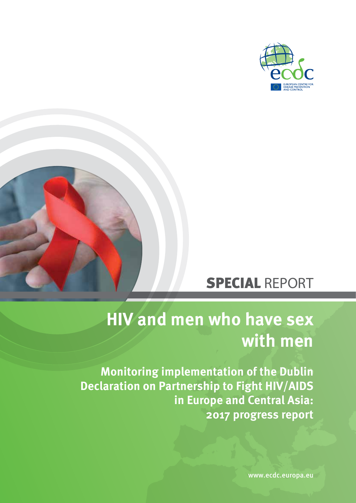



# SPECIAL REPORT

# **HIV and men who have sex with men**

**Monitoring implementation of the Dublin Declaration on Partnership to Fight HIV/AIDS in Europe and Central Asia: 2017 progress report**

www.ecdc.europa.eu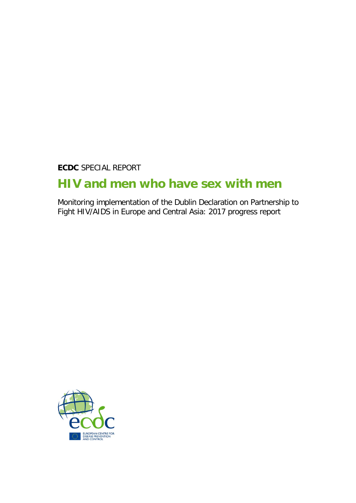**ECDC** SPECIAL REPORT

## **HIV and men who have sex with men**

Monitoring implementation of the Dublin Declaration on Partnership to Fight HIV/AIDS in Europe and Central Asia: 2017 progress report

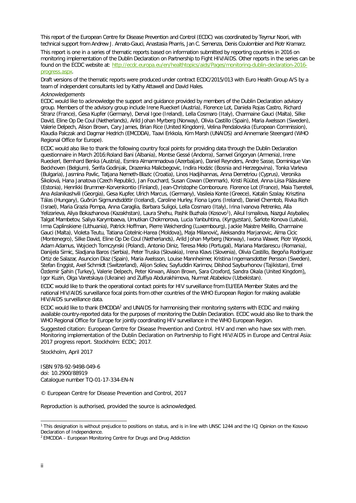This report of the European Centre for Disease Prevention and Control (ECDC) was coordinated by Teymur Noori, with technical support from Andrew J. Amato-Gauci, Anastasia Pharris, Jan C. Semenza, Denis Coulombier and Piotr Kramarz.

This report is one in a series of thematic reports based on information submitted by reporting countries in 2016 on monitoring implementation of the Dublin Declaration on Partnership to Fight HIV/AIDS. Other reports in the series can be found on the ECDC website at: [http://ecdc.europa.eu/en/healthtopics/aids/Pages/monitoring-dublin-declaration-2016](http://ecdc.europa.eu/en/healthtopics/aids/Pages/monitoring-dublin-declaration-2016-progress.aspx) [progress.aspx.](http://ecdc.europa.eu/en/healthtopics/aids/Pages/monitoring-dublin-declaration-2016-progress.aspx) 

Draft versions of the thematic reports were produced under contract ECDC/2015/013 with Euro Health Group A/S by a team of independent consultants led by Kathy Attawell and David Hales.

#### *Acknowledgements*

ECDC would like to acknowledge the support and guidance provided by members of the Dublin Declaration advisory group. Members of the advisory group include Irene Rueckerl (Austria), Florence Lot, Daniela Rojas Castro, Richard Stranz (France), Gesa Kupfer (Germany), Derval Igoe (Ireland), Lella Cosmaro (Italy), Charmaine Gauci (Malta), Silke David, Eline Op De Coul (Netherlands), Arild Johan Myrberg (Norway), Olivia Castillo (Spain), Maria Axelsson (Sweden), Valerie Delpech, Alison Brown, Cary James, Brian Rice (United Kingdom), Velina Pendalovska (European Commission), Klaudia Palczak and Dagmar Hedrich (EMCDDA), Taavi Erkkola, Kim Marsh (UNAIDS) and Annemarie Steengard (WHO Regional Office for Europe).

ECDC would also like to thank the following country focal points for providing data through the Dublin Declaration questionnaire in March 2016:Roland Bani (Albania), Montse Gessé (Andorra), Samvel Grigoryan (Armenia), Irene Rueckerl, Bernhard Benka (Austria), Esmira Almammadova (Azerbaijan), Daniel Reynders, Andre Sasse, Dominique Van Beckhoven (Belgium), Šerifa Godinjak, Drazenka Malicbegovic, Indira Hodzic (Bosnia and Herzegovina), Tonka Varleva (Bulgaria), Jasmina Pavlic, Tatjana Nemeth-Blazic (Croatia), Linos Hadjihannas, Anna Demetriou (Cyprus), Veronika Šikolová, Hana Janatova (Czech Republic), Jan Fouchard, Susan Cowan (Denmark), Kristi Rüütel, Anna-Liisa Pääsukene (Estonia), Henrikki Brummer-Korvenkontio (Finland), Jean-Christophe Comboroure. Florence Lot (France), Maia Tsereteli, Ana Aslanikashvili (Georgia), Gesa Kupfer, Ulrich Marcus, (Germany), Vasileia Konte (Greece), Katalin Szalay, Krisztina Tálas (Hungary), Guðrún Sigmundsdóttir (Iceland), Caroline Hurley, Fiona Lyons (Ireland), Daniel Chemtob, Rivka Rich (Israel), Maria Grazia Pompa, Anna Caraglia, Barbara Suligoi, Lella Cosmaro (Italy), Irina Ivanova Petrenko, Alla Yelizarieva, Aliya Bokazhanova (Kazakhstan), Laura Shehu, Pashk Buzhala (Kosovo<sup>1</sup>), Aikul Ismailova, Nazgul Asybaliev, Talgat Mambetov, Saliya Karymbaeva, Umutkan Chokmorova, Lucia Yanbuhtina, (Kyrgyzstan), Šarlote Konova (Latvia), Irma Caplinskiene (Lithuania), Patrick Hoffman, Pierre Weicherding (Luxembourg), Jackie Maistre Melillo, Charmaine Gauci (Malta), Violeta Teutu, Tatiana Cotelnic-Harea (Moldova), Maja Milanović, Aleksandra Marjanovic, Alma Cicic (Montenegro), Silke David, Eline Op De Coul (Netherlands), Arild Johan Myrberg (Norway), Iwona Wawer, Piotr Wysocki, Adam Adamus, Wojciech Tomczynski (Poland), Antonio Diniz, Teresa Melo (Portugal), Mariana Mardarescu (Romania), Danijela Simic, Sladjana Baros (Serbia), Peter Truska (Slovakia), Irena Klavs (Slovenia), Olivia Castillo, Begoña Rodríguez Ortiz de Salazar, Asuncion Diaz (Spain), Maria Axelsson, Louise Mannheimer, Kristina Ingemarsdotter Persson (Sweden), Stefan Enggist, Axel Schmidt (Switzerland), Alijon Soliev, Sayfuddin Karimov, Dilshod Sayburhonov (Tajikistan), Emel Özdemir Şahin (Turkey), Valerie Delpech, Peter Kirwan, Alison Brown, Sara Croxford, Sandra Okala (United Kingdom), Igor Kuzin, Olga Varetskaya (Ukraine) and Zulfiya Abdurakhimova, Nurmat Atabekov (Uzbekistan).

ECDC would like to thank the operational contact points for HIV surveillance from EU/EEA Member States and the national HIV/AIDS surveillance focal points from other countries of the WHO European Region for making available HIV/AIDS surveillance data.

ECDC would like to thank EMCDDA<sup>2</sup> and UNAIDS for harmonising their monitoring systems with ECDC and making available country-reported data for the purposes of monitoring the Dublin Declaration. ECDC would also like to thank the WHO Regional Office for Europe for jointly coordinating HIV surveillance in the WHO European Region.

Suggested citation: European Centre for Disease Prevention and Control. HIV and men who have sex with men. Monitoring implementation of the Dublin Declaration on Partnership to Fight HIV/AIDS in Europe and Central Asia: 2017 progress report. Stockholm: ECDC; 2017.

Stockholm, April 2017

ISBN 978-92-9498-049-6 doi: 10.2900/88919 Catalogue number TQ-01-17-334-EN-N

© European Centre for Disease Prevention and Control, 2017

Reproduction is authorised, provided the source is acknowledged.

<span id="page-2-0"></span> <sup>1</sup> This designation is without prejudice to positions on status, and is in line with UNSC 1244 and the ICJ Opinion on the Kosovo Declaration of Independence.

<sup>2</sup> EMCDDA – European Monitoring Centre for Drugs and Drug Addiction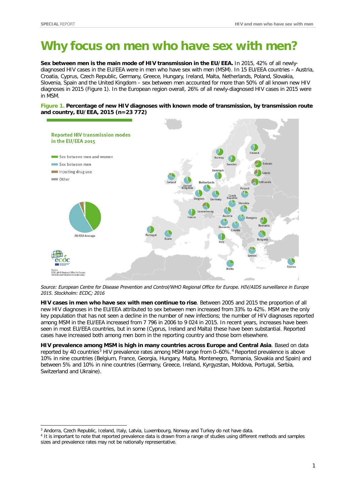## **Why focus on men who have sex with men?**

**Sex between men is the main mode of HIV transmission in the EU/EEA.** In 2015, 42% of all newlydiagnosed HIV cases in the EU/EEA were in men who have sex with men (MSM). In 15 EU/EEA countries – Austria, Croatia, Cyprus, Czech Republic, Germany, Greece, Hungary, Ireland, Malta, Netherlands, Poland, Slovakia, Slovenia, Spain and the United Kingdom – sex between men accounted for more than 50% of all known new HIV diagnoses in 2015 (Figure 1). In the European region overall, 26% of all newly-diagnosed HIV cases in 2015 were in MSM.

**Figure 1. Percentage of new HIV diagnoses with known mode of transmission, by transmission route and country, EU/EEA, 2015 (n=23 772)**



Source: European Centre for Disease Prevention and Control/WHO Regional Office for Europe. HIV/AIDS surveillance in Europe *2015. Stockholm: ECDC; 2016*

**HIV cases in men who have sex with men continue to rise**. Between 2005 and 2015 the proportion of all new HIV diagnoses in the EU/EEA attributed to sex between men increased from 33% to 42%. MSM are the only key population that has not seen a decline in the number of new infections; the number of HIV diagnoses reported among MSM in the EU/EEA increased from 7 796 in 2006 to 9 024 in 2015. In recent years, increases have been seen in most EU/EEA countries, but in some (Cyprus, Ireland and Malta) these have been substantial. Reported cases have increased both among men born in the reporting country and those born elsewhere.

**HIV prevalence among MSM is high in many countries across Europe and Central Asia**. Based on data reported by 40 countries<sup>[3](#page-3-0)</sup> HIV prevalence rates among MSM range from 0–60%.<sup>[4](#page-3-1)</sup> Reported prevalence is above 10% in nine countries (Belgium, France, Georgia, Hungary, Malta, Montenegro, Romania, Slovakia and Spain) and between 5% and 10% in nine countries (Germany, Greece, Ireland, Kyrgyzstan, Moldova, Portugal, Serbia, Switzerland and Ukraine).

<span id="page-3-0"></span><sup>&</sup>lt;sup>3</sup> Andorra, Czech Republic, Iceland, Italy, Latvia, Luxembourg, Norway and Turkey do not have data.

<span id="page-3-1"></span><sup>4</sup> It is important to note that reported prevalence data is drawn from a range of studies using different methods and samples sizes and prevalence rates may not be nationally representative.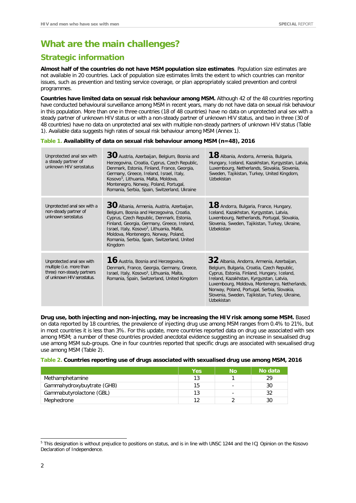## **What are the main challenges?**

### **Strategic information**

**Almost half of the countries do not have MSM population size estimates**. Population size estimates are not available in 20 countries. Lack of population size estimates limits the extent to which countries can monitor issues, such as prevention and testing service coverage, or plan appropriately scaled prevention and control programmes.

**Countries have limited data on sexual risk behaviour among MSM.** Although 42 of the 48 countries reporting have conducted behavioural surveillance among MSM in recent years, many do not have data on sexual risk behaviour in this population. More than one in three countries (18 of 48 countries) have no data on unprotected anal sex with a steady partner of unknown HIV status or with a non-steady partner of unknown HIV status, and two in three (30 of 48 countries) have no data on unprotected anal sex with multiple non-steady partners of unknown HIV status (Table 1). Available data suggests high rates of sexual risk behaviour among MSM (Annex 1).

#### **Table 1. Availability of data on sexual risk behaviour among MSM (n=48), 2016**

| Unprotected anal sex with<br>a steady partner of<br>unknown HIV serostatus                                        | 30 Austria, Azerbaijan, Belgium, Bosnia and<br>Herzegovina, Croatia, Cyprus, Czech Republic,<br>Denmark, Estonia, Finland, France, Georgia,<br>Germany, Greece, Ireland, Israel, Italy,<br>Kosovo <sup>5</sup> , Lithuania, Malta, Moldova,<br>Montenegro, Norway, Poland, Portugal,<br>Romania, Serbia, Spain, Switzerland, Ukraine             | 18 Albania, Andorra, Armenia, Bulgaria,<br>Hungary, Iceland, Kazakhstan, Kyrgyzstan, Latvia,<br>Luxembourg, Netherlands, Slovakia, Slovenia,<br>Sweden, Tajikistan, Turkey, United Kingdom,<br>Uzbekistan                                                                                                                                           |
|-------------------------------------------------------------------------------------------------------------------|--------------------------------------------------------------------------------------------------------------------------------------------------------------------------------------------------------------------------------------------------------------------------------------------------------------------------------------------------|-----------------------------------------------------------------------------------------------------------------------------------------------------------------------------------------------------------------------------------------------------------------------------------------------------------------------------------------------------|
| Unprotected anal sex with a<br>non-steady partner of<br>unknown serostatus                                        | $30$ Albania, Armenia, Austria, Azerbaijan,<br>Belgium, Bosnia and Herzegovina, Croatia,<br>Cyprus, Czech Republic, Denmark, Estonia,<br>Finland, Georgia, Germany, Greece, Ireland,<br>Israel, Italy, Kosovo <sup>3</sup> , Lithuania, Malta,<br>Moldova, Montenegro, Norway, Poland,<br>Romania, Serbia, Spain, Switzerland, United<br>Kingdom | 18 Andorra, Bulgaria, France, Hungary,<br>Iceland, Kazakhstan, Kyrgyzstan, Latvia,<br>Luxembourg, Netherlands, Portugal, Slovakia,<br>Slovenia, Sweden, Tajikistan, Turkey, Ukraine,<br>Uzbekistan                                                                                                                                                  |
| Unprotected anal sex with<br>multiple (i.e. more than<br>three) non-steady partners<br>of unknown HIV serostatus. | <b>16</b> Austria, Bosnia and Herzegovina,<br>Denmark, France, Georgia, Germany, Greece,<br>Israel, Italy, Kosovo <sup>3</sup> , Lithuania, Malta,<br>Romania, Spain, Switzerland, United Kingdom                                                                                                                                                | 32 Albania, Andorra, Armenia, Azerbaijan,<br>Belgium, Bulgaria, Croatia, Czech Republic,<br>Cyprus, Estonia, Finland, Hungary, Iceland,<br>Ireland, Kazakhstan, Kyrgyzstan, Latvia,<br>Luxembourg, Moldova, Montenegro, Netherlands,<br>Norway, Poland, Portugal, Serbia, Slovakia,<br>Slovenia, Sweden, Tajikistan, Turkey, Ukraine,<br>Uzbekistan |

**Drug use, both injecting and non-injecting, may be increasing the HIV risk among some MSM.** Based on data reported by 18 countries, the prevalence of injecting drug use among MSM ranges from 0.4% to 21%, but in most countries it is less than 3%. For this update, more countries reported data on drug use associated with sex among MSM; a number of these countries provided anecdotal evidence suggesting an increase in sexualised drug use among MSM sub-groups. One in four countries reported that specific drugs are associated with sexualised drug use among MSM (Table 2).

#### **Table 2. Countries reporting use of drugs associated with sexualised drug use among MSM, 2016**

|                            | Yes | Νo | No data |
|----------------------------|-----|----|---------|
| Methamphetamine            | 13  |    | 29      |
| Gammahydroxybuytrate (GHB) | 15  |    | 30      |
| Gammabutyrolactone (GBL)   | 13  |    | 32      |
| Mephedrone                 |     |    | 30      |

<span id="page-4-0"></span> <sup>5</sup> This designation is without prejudice to positions on status, and is in line with UNSC 1244 and the ICJ Opinion on the Kosovo Declaration of Independence.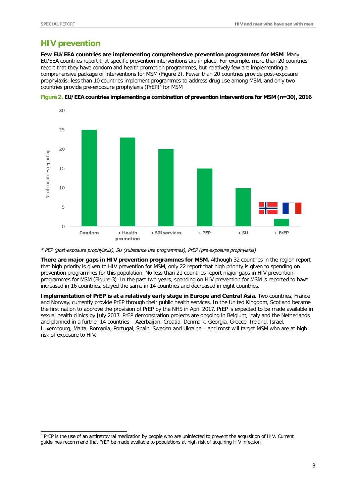### **HIV prevention**

**Few EU/EEA countries are implementing comprehensive prevention programmes for MSM**. Many EU/EEA countries report that specific prevention interventions are in place. For example, more than 20 countries report that they have condom and health promotion programmes, but relatively few are implementing a comprehensive package of interventions for MSM (Figure 2). Fewer than 20 countries provide post-exposure prophylaxis, less than 10 countries implement programmes to address drug use among MSM, and only two countries provide pre-exposure prophylaxis (PrEP)<sup>[6](#page-5-0)</sup> for MSM.



**Figure 2. EU/EEA countries implementing a combination of prevention interventions for MSM (n=30), 2016**

*\* PEP (post-exposure prophylaxis), SU (substance use programmes), PrEP (pre-exposure prophylaxis)*

**There are major gaps in HIV prevention programmes for MSM.** Although 32 countries in the region report that high priority is given to HIV prevention for MSM, only 22 report that high priority is given to spending on prevention programmes for this population. No less than 21 countries report major gaps in HIV prevention programmes for MSM (Figure 3). In the past two years, spending on HIV prevention for MSM is reported to have increased in 16 countries, stayed the same in 14 countries and decreased in eight countries.

**Implementation of PrEP is at a relatively early stage in Europe and Central Asia**. Two countries, France and Norway, currently provide PrEP through their public health services. In the United Kingdom, Scotland became the first nation to approve the provision of PrEP by the NHS in April 2017. PrEP is expected to be made available in sexual health clinics by July 2017. PrEP demonstration projects are ongoing in Belgium, Italy and the Netherlands and planned in a further 14 countries – Azerbaijan, Croatia, Denmark, Georgia, Greece, Ireland, Israel, Luxembourg, Malta, Romania, Portugal, Spain, Sweden and Ukraine – and most will target MSM who are at high risk of exposure to HIV.

<span id="page-5-0"></span> <sup>6</sup> PrEP is the use of an antiretroviral medication by people who are uninfected to prevent the acquisition of HIV. Current guidelines recommend that PrEP be made available to populations at high risk of acquiring HIV infection.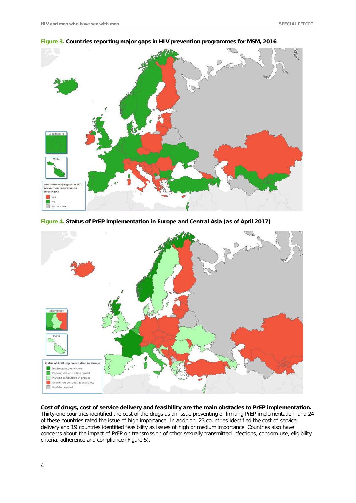

#### **Figure 3. Countries reporting major gaps in HIV prevention programmes for MSM, 2016**





**Cost of drugs, cost of service delivery and feasibility are the main obstacles to PrEP implementation.** Thirty-one countries identified the cost of the drugs as an issue preventing or limiting PrEP implementation, and 24 of these countries rated the issue of high importance. In addition, 23 countries identified the cost of service delivery and 19 countries identified feasibility as issues of high or medium importance. Countries also have concerns about the impact of PrEP on transmission of other sexually-transmitted infections, condom use, eligibility criteria, adherence and compliance (Figure 5).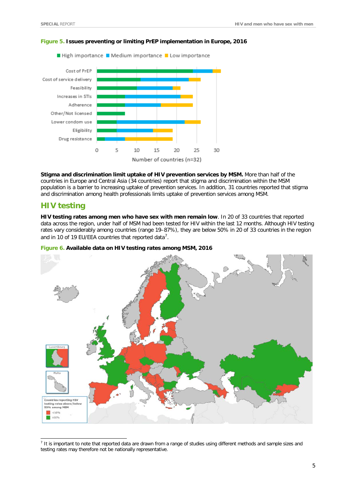

#### **Figure 5. Issues preventing or limiting PrEP implementation in Europe, 2016**

**Stigma and discrimination limit uptake of HIV prevention services by MSM.** More than half of the countries in Europe and Central Asia (34 countries) report that stigma and discrimination within the MSM population is a barrier to increasing uptake of prevention services. In addition, 31 countries reported that stigma and discrimination among health professionals limits uptake of prevention services among MSM.

#### **HIV testing**

**HIV testing rates among men who have sex with men remain low**. In 20 of 33 countries that reported data across the region, under half of MSM had been tested for HIV within the last 12 months. Although HIV testing rates vary considerably among countries (range 19–87%), they are below 50% in 20 of 33 countries in the region and in 10 of 19 EU/EEA countries that reported data<sup>[7](#page-7-0)</sup>.

#### **Figure 6. Available data on HIV testing rates among MSM, 2016**



<span id="page-7-0"></span><sup>&</sup>lt;sup>7</sup> It is important to note that reported data are drawn from a range of studies using different methods and sample sizes and testing rates may therefore not be nationally representative.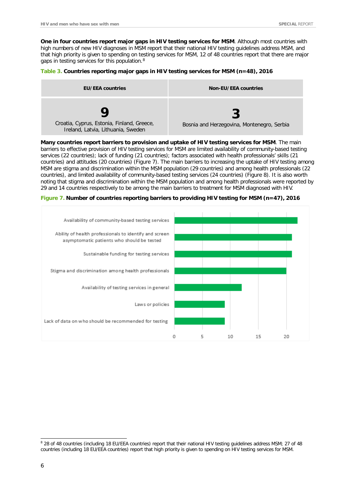**One in four countries report major gaps in HIV testing services for MSM**. Although most countries with high numbers of new HIV diagnoses in MSM report that their national HIV testing guidelines address MSM, and that high priority is given to spending on testing services for MSM, 12 of 48 countries report that there are major gaps in testing services for this population.[8](#page-8-0)

#### **Table 3. Countries reporting major gaps in HIV testing services for MSM (n=48), 2016**

| <b>EU/EEA countries</b>                                                          | <b>Non-EU/EEA countries</b>                |
|----------------------------------------------------------------------------------|--------------------------------------------|
| Croatia, Cyprus, Estonia, Finland, Greece,<br>Ireland, Latvia, Lithuania, Sweden | Bosnia and Herzegovina, Montenegro, Serbia |

**Many countries report barriers to provision and uptake of HIV testing services for MSM**. The main barriers to effective provision of HIV testing services for MSM are limited availability of community-based testing services (22 countries); lack of funding (21 countries); factors associated with health professionals' skills (21 countries) and attitudes (20 countries) (Figure 7). The main barriers to increasing the uptake of HIV testing among MSM are stigma and discrimination within the MSM population (29 countries) and among health professionals (22 countries), and limited availability of community-based testing services (24 countries) (Figure 8). It is also worth noting that stigma and discrimination within the MSM population and among health professionals were reported by 29 and 14 countries respectively to be among the main barriers to treatment for MSM diagnosed with HIV.

**Figure 7. Number of countries reporting barriers to providing HIV testing for MSM (n=47), 2016**



<span id="page-8-0"></span> <sup>8</sup> 28 of 48 countries (including 18 EU/EEA countries) report that their national HIV testing guidelines address MSM; 27 of 48 countries (including 18 EU/EEA countries) report that high priority is given to spending on HIV testing services for MSM.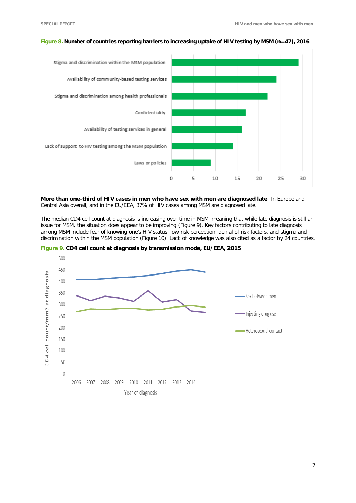

#### **Figure 8. Number of countries reporting barriers to increasing uptake of HIV testing by MSM (n=47), 2016**

**More than one-third of HIV cases in men who have sex with men are diagnosed late**. In Europe and Central Asia overall, and in the EU/EEA, 37% of HIV cases among MSM are diagnosed late.

The median CD4 cell count at diagnosis is increasing over time in MSM, meaning that while late diagnosis is still an issue for MSM, the situation does appear to be improving (Figure 9). Key factors contributing to late diagnosis among MSM include fear of knowing one's HIV status, low risk perception, denial of risk factors, and stigma and discrimination within the MSM population (Figure 10). Lack of knowledge was also cited as a factor by 24 countries.



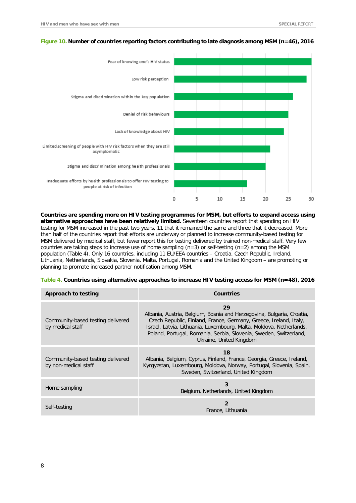

#### **Figure 10. Number of countries reporting factors contributing to late diagnosis among MSM (n=46), 2016**

**Countries are spending more on HIV testing programmes for MSM, but efforts to expand access using alternative approaches have been relatively limited.** Seventeen countries report that spending on HIV testing for MSM increased in the past two years, 11 that it remained the same and three that it decreased. More than half of the countries report that efforts are underway or planned to increase community-based testing for MSM delivered by medical staff, but fewerreport this for testing delivered by trained non-medical staff. Very few countries are taking steps to increase use of home sampling ( $n=3$ ) or self-testing ( $n=2$ ) among the MSM population (Table 4). Only 16 countries, including 11 EU/EEA countries – Croatia, Czech Republic, Ireland, Lithuania, Netherlands, Slovakia, Slovenia, Malta, Portugal, Romania and the United Kingdom – are promoting or planning to promote increased partner notification among MSM.

| Table 4. Countries using alternative approaches to increase HIV testing access for MSM (n=48), 2016 |  |  |
|-----------------------------------------------------------------------------------------------------|--|--|
|                                                                                                     |  |  |

| Approach to testing                                       | <b>Countries</b>                                                                                                                                                                                                                                                                                                        |  |
|-----------------------------------------------------------|-------------------------------------------------------------------------------------------------------------------------------------------------------------------------------------------------------------------------------------------------------------------------------------------------------------------------|--|
| Community-based testing delivered<br>by medical staff     | 29<br>Albania, Austria, Belgium, Bosnia and Herzegovina, Bulgaria, Croatia,<br>Czech Republic, Finland, France, Germany, Greece, Ireland, Italy,<br>Israel, Latvia, Lithuania, Luxembourg, Malta, Moldova, Netherlands,<br>Poland, Portugal, Romania, Serbia, Slovenia, Sweden, Switzerland,<br>Ukraine, United Kingdom |  |
| Community-based testing delivered<br>by non-medical staff | 18<br>Albania, Belgium, Cyprus, Finland, France, Georgia, Greece, Ireland,<br>Kyrgyzstan, Luxembourg, Moldova, Norway, Portugal, Slovenia, Spain,<br>Sweden, Switzerland, United Kingdom                                                                                                                                |  |
| Home sampling                                             | 3<br>Belgium, Netherlands, United Kingdom                                                                                                                                                                                                                                                                               |  |
| Self-testing                                              | $\overline{2}$<br>France, Lithuania                                                                                                                                                                                                                                                                                     |  |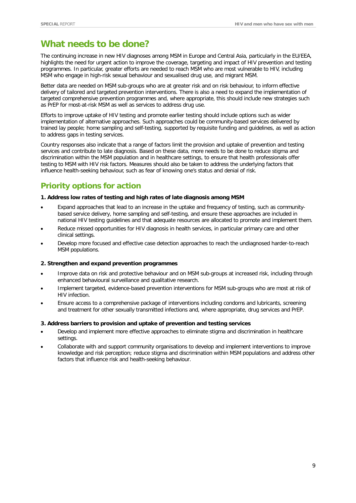## **What needs to be done?**

The continuing increase in new HIV diagnoses among MSM in Europe and Central Asia, particularly in the EU/EEA, highlights the need for urgent action to improve the coverage, targeting and impact of HIV prevention and testing programmes. In particular, greater efforts are needed to reach MSM who are most vulnerable to HIV, including MSM who engage in high-risk sexual behaviour and sexualised drug use, and migrant MSM.

Better data are needed on MSM sub-groups who are at greater risk and on risk behaviour, to inform effective delivery of tailored and targeted prevention interventions. There is also a need to expand the implementation of targeted comprehensive prevention programmes and, where appropriate, this should include new strategies such as PrEP for most-at-risk MSM as well as services to address drug use.

Efforts to improve uptake of HIV testing and promote earlier testing should include options such as wider implementation of alternative approaches. Such approaches could be community-based services delivered by trained lay people; home sampling and self-testing, supported by requisite funding and guidelines, as well as action to address gaps in testing services.

Country responses also indicate that a range of factors limit the provision and uptake of prevention and testing services and contribute to late diagnosis. Based on these data, more needs to be done to reduce stigma and discrimination within the MSM population and in healthcare settings, to ensure that health professionals offer testing to MSM with HIV risk factors. Measures should also be taken to address the underlying factors that influence health-seeking behaviour, such as fear of knowing one's status and denial of risk.

## **Priority options for action**

#### **1. Address low rates of testing and high rates of late diagnosis among MSM**

- Expand approaches that lead to an increase in the uptake and frequency of testing, such as communitybased service delivery, home sampling and self-testing, and ensure these approaches are included in national HIV testing guidelines and that adequate resources are allocated to promote and implement them.
- Reduce missed opportunities for HIV diagnosis in health services, in particular primary care and other clinical settings.
- Develop more focused and effective case detection approaches to reach the undiagnosed harder-to-reach MSM populations.

#### **2. Strengthen and expand prevention programmes**

- Improve data on risk and protective behaviour and on MSM sub-groups at increased risk, including through enhanced behavioural surveillance and qualitative research.
- Implement targeted, evidence-based prevention interventions for MSM sub-groups who are most at risk of HIV infection.
- Ensure access to a comprehensive package of interventions including condoms and lubricants, screening and treatment for other sexually transmitted infections and, where appropriate, drug services and PrEP.

#### **3. Address barriers to provision and uptake of prevention and testing services**

- Develop and implement more effective approaches to eliminate stigma and discrimination in healthcare settings.
- Collaborate with and support community organisations to develop and implement interventions to improve knowledge and risk perception; reduce stigma and discrimination within MSM populations and address other factors that influence risk and health-seeking behaviour.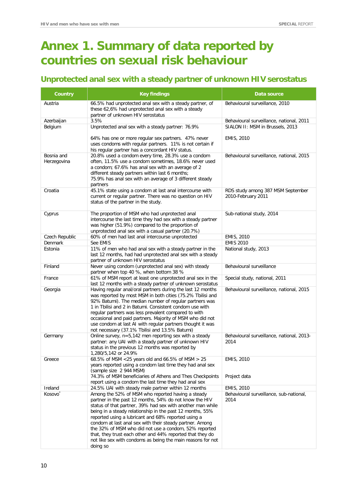## **Annex 1. Summary of data reported by countries on sexual risk behaviour**

## **Unprotected anal sex with a steady partner of unknown HIV serostatus**

| Country                        | <b>Key findings</b>                                                                                                                                                                                                                                                                                                                                                                                                                                                                                                                                                                                               | Data source                                                   |
|--------------------------------|-------------------------------------------------------------------------------------------------------------------------------------------------------------------------------------------------------------------------------------------------------------------------------------------------------------------------------------------------------------------------------------------------------------------------------------------------------------------------------------------------------------------------------------------------------------------------------------------------------------------|---------------------------------------------------------------|
| Austria                        | 66.5% had unprotected anal sex with a steady partner, of<br>these 62,6% had unprotected anal sex with a steady<br>partner of unknown HIV serostatus                                                                                                                                                                                                                                                                                                                                                                                                                                                               | Behavioural surveillance, 2010                                |
| Azerbaijan                     | 3.5%                                                                                                                                                                                                                                                                                                                                                                                                                                                                                                                                                                                                              | Behavioural surveillance, national, 2011                      |
| Belgium                        | Unprotected anal sex with a steady partner: 76.9%                                                                                                                                                                                                                                                                                                                                                                                                                                                                                                                                                                 | SIALON II: MSM in Brussels, 2013                              |
|                                | 64% has one or more regular sex partners. 47% never<br>uses condoms with regular partners. 11% is not certain if<br>his regular partner has a concordant HIV status.                                                                                                                                                                                                                                                                                                                                                                                                                                              | EMIS, 2010                                                    |
| Bosnia and<br>Herzegovina      | 20.8% used a condom every time, 28.3% use a condom<br>often, 11.5% use a condom sometimes, 18.6% never used<br>a condom; 67.6% has anal sex with an average of 2<br>different steady partners within last 6 months;<br>75.9% has anal sex with an average of 3 different steady<br>partners                                                                                                                                                                                                                                                                                                                       | Behavioural surveillance, national, 2015                      |
| Croatia                        | 45.1% state using a condom at last anal intercourse with<br>current or regular partner. There was no question on HIV<br>status of the partner in the study.                                                                                                                                                                                                                                                                                                                                                                                                                                                       | RDS study among 387 MSM September<br>2010-February 2011       |
| Cyprus                         | The proportion of MSM who had unprotected anal<br>intercourse the last time they had sex with a steady partner<br>was higher (51.9%) compared to the proportion of<br>unprotected anal sex with a casual partner (20.7%)                                                                                                                                                                                                                                                                                                                                                                                          | Sub-national study, 2014                                      |
| Czech Republic                 | 60% of men had last anal intercourse unprotected                                                                                                                                                                                                                                                                                                                                                                                                                                                                                                                                                                  | EMIS, 2010                                                    |
| Denmark                        | See EMIS                                                                                                                                                                                                                                                                                                                                                                                                                                                                                                                                                                                                          | <b>EMIS 2010</b>                                              |
| Estonia                        | 11% of men who had anal sex with a steady partner in the<br>last 12 months, had had unprotected anal sex with a steady<br>partner of unknown HIV serostatus                                                                                                                                                                                                                                                                                                                                                                                                                                                       | National study, 2013                                          |
| Finland                        | Never using condom (unprotected anal sex) with steady<br>partner when top 40 %, when bottom 38 %                                                                                                                                                                                                                                                                                                                                                                                                                                                                                                                  | Behavioural surveillance                                      |
| France                         | 61% of MSM report at least one unprotected anal sex in the<br>last 12 months with a steady partner of unknown serostatus                                                                                                                                                                                                                                                                                                                                                                                                                                                                                          | Special study, national, 2011                                 |
| Georgia                        | Having regular anal/oral partners during the last 12 months<br>was reported by most MSM in both cities (75.2% Tbilisi and<br>92% Batumi). The median number of regular partners was<br>1 in Tbilisi and 2 in Batumi. Consistent condom use with<br>regular partners was less prevalent compared to with<br>occasional and paid partners. Majority of MSM who did not<br>use condom at last AI with regular partners thought it was<br>not necessary (37.1% Tbilisi and 13.5% Batumi)                                                                                                                              | Behavioural surveillance, national, 2015                      |
| Germany                        | Online survey, $n=5,142$ men reporting sex with a steady<br>partner: any UAI with a steady partner of unknown HIV<br>status in the previous 12 months was reported by<br>1,280/5,142 or 24.9%                                                                                                                                                                                                                                                                                                                                                                                                                     | Behavioural surveillance, national, 2013-<br>2014             |
| Greece                         | 68.5% of MSM <25 years old and 66.5% of MSM > 25<br>years reported using a condom last time they had anal sex<br>(sample size 2 944 MSM)                                                                                                                                                                                                                                                                                                                                                                                                                                                                          | EMIS, 2010                                                    |
|                                | 74.3% of MSM beneficiaries of Athens and Thes Checkpoints<br>report using a condom the last time they had anal sex                                                                                                                                                                                                                                                                                                                                                                                                                                                                                                | Project data                                                  |
| Ireland<br>Kosovo <sup>*</sup> | 24.5% UAI with steady male partner within 12 months<br>Among the 52% of MSM who reported having a steady<br>partner in the past 12 months, 54% do not know the HIV<br>status of that partner, 39% had sex with another man while<br>being in a steady relationship in the past 12 months, 55%<br>reported using a lubricant and 68% reported using a<br>condom at last anal sex with their steady partner. Among<br>the 32% of MSM who did not use a condom, 52% reported<br>that, they trust each other and 44% reported that they do<br>not like sex with condoms as being the main reasons for not<br>doing so | EMIS, 2010<br>Behavioural surveillance, sub-national,<br>2014 |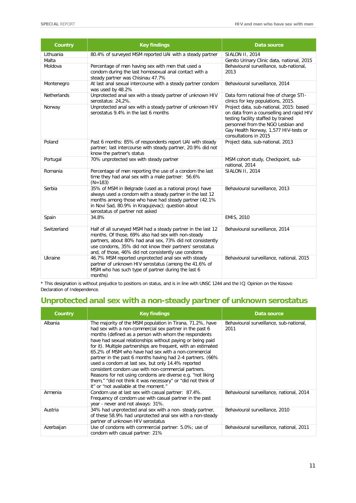| <b>Country</b>     | <b>Key findings</b>                                                                                                                                                                                                                                                                                 | Data source                                                                                                                                                                                                                        |
|--------------------|-----------------------------------------------------------------------------------------------------------------------------------------------------------------------------------------------------------------------------------------------------------------------------------------------------|------------------------------------------------------------------------------------------------------------------------------------------------------------------------------------------------------------------------------------|
| Lithuania          | 80.4% of surveyed MSM reported UAI with a steady partner                                                                                                                                                                                                                                            | <b>SIALON II, 2014</b>                                                                                                                                                                                                             |
| Malta              |                                                                                                                                                                                                                                                                                                     | Genito Urinary Clinic data, national, 2015                                                                                                                                                                                         |
| Moldova            | Percentage of men having sex with men that used a<br>condom during the last homosexual anal contact with a<br>steady partner was Chisinau 47.7%                                                                                                                                                     | Behavioural surveillance, sub-national,<br>2013                                                                                                                                                                                    |
| Montenegro         | At last anal sexual intercourse with a steady partner condom<br>was used by 48.2%                                                                                                                                                                                                                   | Behavioural surveillance, 2014                                                                                                                                                                                                     |
| <b>Netherlands</b> | Unprotected anal sex with a steady partner of unknown HIV<br>serostatus: 24,2%.                                                                                                                                                                                                                     | Data form national free of charge STI-<br>clinics for key populations, 2015.                                                                                                                                                       |
| Norway             | Unprotected anal sex with a steady partner of unknown HIV<br>serostatus 9.4% in the last 6 months                                                                                                                                                                                                   | Project data, sub-national, 2015: based<br>on data from a counselling and rapid HIV<br>testing facility staffed by trained<br>personnel from the NGO Lesbian and<br>Gay Health Norway, 1,577 HIV-tests or<br>consultations in 2015 |
| Poland             | Past 6 months: 85% of respondents report UAI with steady<br>partner; last intercourse with steady partner, 20.9% did not<br>know the partner's status                                                                                                                                               | Project data, sub-national, 2013                                                                                                                                                                                                   |
| Portugal           | 70% unprotected sex with steady partner                                                                                                                                                                                                                                                             | MSM cohort study, Checkpoint, sub-<br>national, 2014                                                                                                                                                                               |
| Romania            | Percentage of men reporting the use of a condom the last<br>time they had anal sex with a male partner: 56.6%<br>$(N=183)$                                                                                                                                                                          | SIALON II, 2014                                                                                                                                                                                                                    |
| Serbia             | 35% of MSM in Belgrade (used as a national proxy) have<br>always used a condom with a steady partner in the last 12<br>months among those who have had steady partner (42.1%)<br>in Novi Sad, 80.9% in Kragujevac); question about<br>serostatus of partner not asked                               | Behavioural surveillance, 2013                                                                                                                                                                                                     |
| Spain              | 34.8%                                                                                                                                                                                                                                                                                               | EMIS, 2010                                                                                                                                                                                                                         |
| Switzerland        | Half of all surveyed MSM had a steady partner in the last 12<br>months. Of those, 69% also had sex with non-steady<br>partners, about 80% had anal sex, 73% did not consistently<br>use condoms, 35% did not know their partners' serostatus<br>and, of those, 46% did not consistently use condoms | Behavioural surveillance, 2014                                                                                                                                                                                                     |
| Ukraine            | 46.7% MSM reported unprotected anal sex with steady<br>partner of unknown HIV serostatus (among the 41.6% of<br>MSM who has such type of partner during the last 6<br>months)                                                                                                                       | Behavioural surveillance, national, 2015                                                                                                                                                                                           |

\* This designation is without prejudice to positions on status, and is in line with UNSC 1244 and the ICJ Opinion on the Kosovo Declaration of Independence.

## **Unprotected anal sex with a non-steady partner of unknown serostatus**

| Country    | <b>Key findings</b>                                                                                                                                                                                                                                                                                                                                                                                                                                                                                                                                                                                                                                                                                                    | Data source                                     |
|------------|------------------------------------------------------------------------------------------------------------------------------------------------------------------------------------------------------------------------------------------------------------------------------------------------------------------------------------------------------------------------------------------------------------------------------------------------------------------------------------------------------------------------------------------------------------------------------------------------------------------------------------------------------------------------------------------------------------------------|-------------------------------------------------|
| Albania    | The majority of the MSM population in Tirana, 71.2%, have<br>had sex with a non-commercial sex partner in the past 6<br>months (defined as a person with whom the respondents<br>have had sexual relationships without paying or being paid<br>for it). Multiple partnerships are frequent, with an estimated<br>65.2% of MSM who have had sex with a non-commercial<br>partner in the past 6 months having had 2-4 partners. (66%<br>used a condom at last sex, but only 14.4% reported<br>consistent condom use with non-commercial partners.<br>Reasons for not using condoms are diverse e.g. "not liking<br>them," "did not think it was necessary" or "did not think of<br>it" or "not available at the moment." | Behavioural surveillance, sub-national,<br>2011 |
| Armenia    | Condom use at last sex with casual partner: 87.4%.<br>Frequency of condom use with casual partner in the past<br>year - never and not always: 31%.                                                                                                                                                                                                                                                                                                                                                                                                                                                                                                                                                                     | Behavioural surveillance, national, 2014        |
| Austria    | 34% had unprotected anal sex with a non-steady partner,<br>of these 58.9% had unprotected anal sex with a non-steady<br>partner of unknown HIV serostatus                                                                                                                                                                                                                                                                                                                                                                                                                                                                                                                                                              | Behavioural surveillance, 2010                  |
| Azerbaijan | Use of condoms with commercial partner: 5.0%; use of<br>condom with casual partner: 21%                                                                                                                                                                                                                                                                                                                                                                                                                                                                                                                                                                                                                                | Behavioural surveillance, national, 2011        |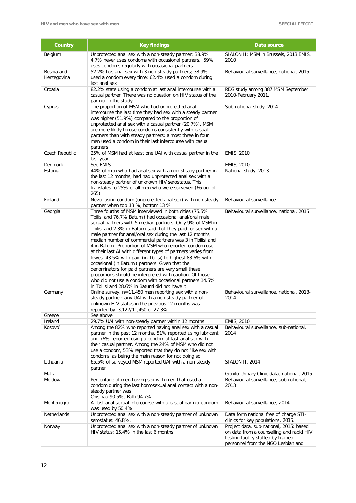| Country                          | <b>Key findings</b>                                                                                                                                                                                                                                                                                                                                                                                                                                                                                                                                                                                                                                                                                                                                                                                                                                  | Data source                                                                                                                                                      |
|----------------------------------|------------------------------------------------------------------------------------------------------------------------------------------------------------------------------------------------------------------------------------------------------------------------------------------------------------------------------------------------------------------------------------------------------------------------------------------------------------------------------------------------------------------------------------------------------------------------------------------------------------------------------------------------------------------------------------------------------------------------------------------------------------------------------------------------------------------------------------------------------|------------------------------------------------------------------------------------------------------------------------------------------------------------------|
| Belgium                          | Unprotected anal sex with a non-steady partner: 38.9%<br>4.7% never uses condoms with occasional partners. 59%<br>uses condoms regularly with occasional partners.                                                                                                                                                                                                                                                                                                                                                                                                                                                                                                                                                                                                                                                                                   | SIALON II: MSM in Brussels, 2013 EMIS,<br>2010                                                                                                                   |
| Bosnia and<br>Herzegovina        | 52.2% has anal sex with 3 non-steady partners; 38.9%<br>used a condom every time; 62.4% used a condom during<br>last anal sex                                                                                                                                                                                                                                                                                                                                                                                                                                                                                                                                                                                                                                                                                                                        | Behavioural surveillance, national, 2015                                                                                                                         |
| Croatia                          | 82.2% state using a condom at last anal intercourse with a<br>casual partner. There was no question on HIV status of the<br>partner in the study                                                                                                                                                                                                                                                                                                                                                                                                                                                                                                                                                                                                                                                                                                     | RDS study among 387 MSM September<br>2010-February 2011.                                                                                                         |
| Cyprus                           | The proportion of MSM who had unprotected anal<br>intercourse the last time they had sex with a steady partner<br>was higher (51.9%) compared to the proportion of<br>unprotected anal sex with a casual partner (20.7%). MSM<br>are more likely to use condoms consistently with casual<br>partners than with steady partners: almost three in four<br>men used a condom in their last intercourse with casual<br>partners                                                                                                                                                                                                                                                                                                                                                                                                                          | Sub-national study, 2014                                                                                                                                         |
| Czech Republic                   | 25% of MSM had at least one UAI with casual partner in the<br>last year                                                                                                                                                                                                                                                                                                                                                                                                                                                                                                                                                                                                                                                                                                                                                                              | EMIS, 2010                                                                                                                                                       |
| Denmark<br>Estonia               | See EMIS<br>44% of men who had anal sex with a non-steady partner in<br>the last 12 months, had had unprotected anal sex with a<br>non-steady partner of unknown HIV serostatus. This<br>translates to 25% of all men who were surveyed (66 out of<br>265)                                                                                                                                                                                                                                                                                                                                                                                                                                                                                                                                                                                           | EMIS, 2010<br>National study, 2013                                                                                                                               |
| Finland                          | Never using condom (unprotected anal sex) with non-steady<br>partner when top 13 %, bottom 13 %                                                                                                                                                                                                                                                                                                                                                                                                                                                                                                                                                                                                                                                                                                                                                      | Behavioural surveillance                                                                                                                                         |
| Georgia                          | Three fourths of MSM interviewed in both cities (75.5%<br>Tbilisi and 76.7% Batumi) had occasional anal/oral male<br>sexual partners with 5 median partners. Only 9% of MSM in<br>Tbilisi and 2.3% in Batumi said that they paid for sex with a<br>male partner for anal/oral sex during the last 12 months;<br>median number of commercial partners was 3 in Tbilisi and<br>4 in Batumi. Proportion of MSM who reported condom use<br>at their last AI with different types of partners varies from<br>lowest 43.5% with paid (in Tbilisi) to highest 83.6% with<br>occasional (in Batumi) partners. Given that the<br>denominators for paid partners are very small these<br>proportions should be interpreted with caution. Of those<br>who did not use a condom with occasional partners 14.5%<br>in Tbilisi and 28.6% in Batumi did not have it | Behavioural surveillance, national, 2015                                                                                                                         |
| Germany                          | Online survey, $n=11,450$ men reporting sex with a non-<br>steady partner: any UAI with a non-steady partner of<br>unknown HIV status in the previous 12 months was<br>reported by 3,127/11,450 or 27.3%                                                                                                                                                                                                                                                                                                                                                                                                                                                                                                                                                                                                                                             | Behavioural surveillance, national, 2013-<br>2014                                                                                                                |
| Greece<br>Ireland                | See above<br>29.7% UAI with non-steady partner within 12 months                                                                                                                                                                                                                                                                                                                                                                                                                                                                                                                                                                                                                                                                                                                                                                                      | EMIS, 2010                                                                                                                                                       |
| Kosovo <sup>*</sup>              | Among the 82% who reported having anal sex with a casual<br>partner in the past 12 months, 51% reported using lubricant<br>and 76% reported using a condom at last anal sex with<br>their casual partner. Among the 24% of MSM who did not<br>use a condom, 53% reported that they do not 'like sex with<br>condoms' as being the main reason for not doing so                                                                                                                                                                                                                                                                                                                                                                                                                                                                                       | Behavioural surveillance, sub-national,<br>2014                                                                                                                  |
| Lithuania                        | 65.5% of surveyed MSM reported UAI with a non-steady<br>partner                                                                                                                                                                                                                                                                                                                                                                                                                                                                                                                                                                                                                                                                                                                                                                                      | SIALON II, 2014                                                                                                                                                  |
| Malta<br>Moldova                 | Percentage of men having sex with men that used a                                                                                                                                                                                                                                                                                                                                                                                                                                                                                                                                                                                                                                                                                                                                                                                                    | Genito Urinary Clinic data, national, 2015<br>Behavioural surveillance, sub-national,                                                                            |
|                                  | condom during the last homosexual anal contact with a non-<br>steady partner was<br>Chisinau 90.5%, Balti 94.7%                                                                                                                                                                                                                                                                                                                                                                                                                                                                                                                                                                                                                                                                                                                                      | 2013                                                                                                                                                             |
| Montenegro<br><b>Netherlands</b> | At last anal sexual intercourse with a casual partner condom<br>was used by 50.4%                                                                                                                                                                                                                                                                                                                                                                                                                                                                                                                                                                                                                                                                                                                                                                    | Behavioural surveillance, 2014                                                                                                                                   |
|                                  | Unprotected anal sex with a non-steady partner of unknown<br>serostatus: 46,8%.                                                                                                                                                                                                                                                                                                                                                                                                                                                                                                                                                                                                                                                                                                                                                                      | Data form national free of charge STI-<br>clinics for key populations, 2015.                                                                                     |
| Norway                           | Unprotected anal sex with a non-steady partner of unknown<br>HIV status: 15.4% in the last 6 months                                                                                                                                                                                                                                                                                                                                                                                                                                                                                                                                                                                                                                                                                                                                                  | Project data, sub-national, 2015: based<br>on data from a counselling and rapid HIV<br>testing facility staffed by trained<br>personnel from the NGO Lesbian and |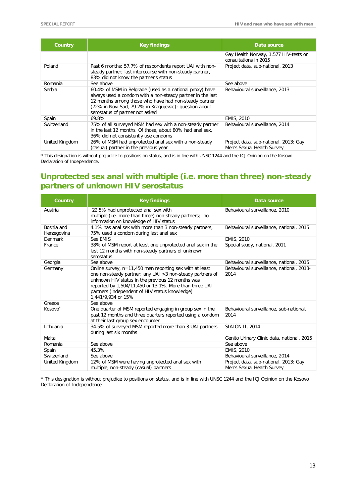| <b>Country</b> | <b>Key findings</b>                                                                                                                                                                                                                                                          | Data source                                                         |
|----------------|------------------------------------------------------------------------------------------------------------------------------------------------------------------------------------------------------------------------------------------------------------------------------|---------------------------------------------------------------------|
|                |                                                                                                                                                                                                                                                                              | Gay Health Norway, 1,577 HIV-tests or<br>consultations in 2015      |
| Poland         | Past 6 months: 57.7% of respondents report UAI with non-<br>steady partner; last intercourse with non-steady partner,<br>83% did not know the partner's status                                                                                                               | Project data, sub-national, 2013                                    |
| Romania        | See above                                                                                                                                                                                                                                                                    | See above                                                           |
| Serbia         | 60.4% of MSM in Belgrade (used as a national proxy) have<br>always used a condom with a non-steady partner in the last<br>12 months among those who have had non-steady partner<br>(72% in Novi Sad, 79.2% in Kragujevac); question about<br>serostatus of partner not asked | Behavioural surveillance, 2013                                      |
| Spain          | 69.8%                                                                                                                                                                                                                                                                        | EMIS, 2010                                                          |
| Switzerland    | 75% of all surveyed MSM had sex with a non-steady partner<br>in the last 12 months. Of those, about 80% had anal sex,<br>36% did not consistently use condoms                                                                                                                | Behavioural surveillance, 2014                                      |
| United Kingdom | 26% of MSM had unprotected anal sex with a non-steady<br>(casual) partner in the previous year                                                                                                                                                                               | Project data, sub-national, 2013: Gay<br>Men's Sexual Health Survey |

\* This designation is without prejudice to positions on status, and is in line with UNSC 1244 and the ICJ Opinion on the Kosovo Declaration of Independence.

### **Unprotected sex anal with multiple (i.e. more than three) non-steady partners of unknown HIV serostatus**

| <b>Country</b>            | <b>Key findings</b>                                                                                                                                                                                                                                                                                           | Data source                                                         |
|---------------------------|---------------------------------------------------------------------------------------------------------------------------------------------------------------------------------------------------------------------------------------------------------------------------------------------------------------|---------------------------------------------------------------------|
| Austria                   | 22.5% had unprotected anal sex with<br>multiple (i.e. more than three) non-steady partners; no<br>information on knowledge of HIV status                                                                                                                                                                      | Behavioural surveillance, 2010                                      |
| Bosnia and<br>Herzegovina | 4.1% has anal sex with more than 3 non-steady partners;<br>75% used a condom during last anal sex                                                                                                                                                                                                             | Behavioural surveillance, national, 2015                            |
| Denmark                   | See EMIS                                                                                                                                                                                                                                                                                                      | EMIS, 2010                                                          |
| France                    | 38% of MSM report at least one unprotected anal sex in the<br>last 12 months with non-steady partners of unknown<br>serostatus                                                                                                                                                                                | Special study, national, 2011                                       |
| Georgia                   | See above                                                                                                                                                                                                                                                                                                     | Behavioural surveillance, national, 2015                            |
| Germany                   | Online survey, $n=11,450$ men reporting sex with at least<br>one non-steady partner: any UAI > 3 non-steady partners of<br>unknown HIV status in the previous 12 months was<br>reported by 1,504/11,450 or 13.1%. More than three UAI<br>partners (independent of HIV status knowledge)<br>1,441/9,934 or 15% | Behavioural surveillance, national, 2013-<br>2014                   |
| Greece                    | See above                                                                                                                                                                                                                                                                                                     |                                                                     |
| Kosovo <sup>*</sup>       | One quarter of MSM reported engaging in group sex in the<br>past 12 months and three quarters reported using a condom<br>at their last group sex encounter                                                                                                                                                    | Behavioural surveillance, sub-national,<br>2014                     |
| Lithuania                 | 34.5% of surveyed MSM reported more than 3 UAI partners<br>during last six months                                                                                                                                                                                                                             | <b>SIALON II. 2014</b>                                              |
| Malta                     |                                                                                                                                                                                                                                                                                                               | Genito Urinary Clinic data, national, 2015                          |
| Romania                   | See above                                                                                                                                                                                                                                                                                                     | See above                                                           |
| Spain                     | 45.3%                                                                                                                                                                                                                                                                                                         | EMIS, 2010                                                          |
| Switzerland               | See above                                                                                                                                                                                                                                                                                                     | Behavioural surveillance, 2014                                      |
| United Kingdom            | 12% of MSM were having unprotected anal sex with<br>multiple, non-steady (casual) partners                                                                                                                                                                                                                    | Project data, sub-national, 2013: Gay<br>Men's Sexual Health Survey |

\* This designation is without prejudice to positions on status, and is in line with UNSC 1244 and the ICJ Opinion on the Kosovo Declaration of Independence.